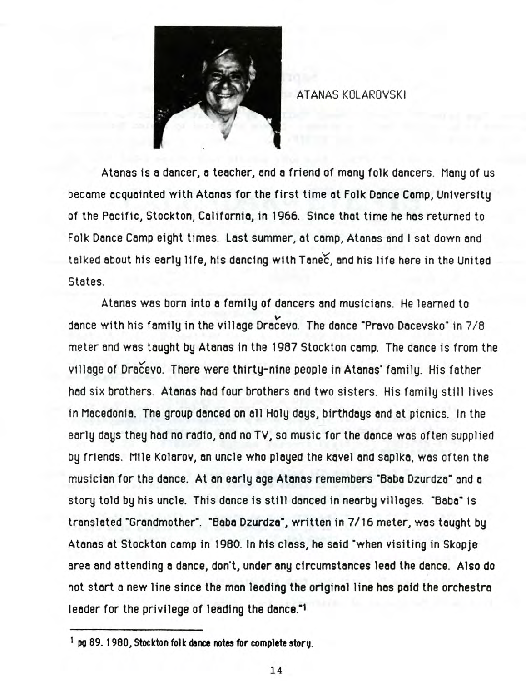

ATANAS KOLAROVSKI

Atanas is a dancer, a teacher, and a friend of many folk dancers. Many of us became acquainted with Atanas for the first time at Folk Dance Camp, University of the Pacific, Stockton, California, in 1966. Since that time he has returned to Folk Dance Camp eight times. Last summer, at camp, Atanas and I sat down and talked about his early life, his dancing with Tanec, and his life here in the United States.

Atanas was born into a family of dancers and musicians. He learned to V dance with his family in the village Dracevo. The dance "Pravo Dacevsko" in 7/8 meter and was taught by Atanas in the 1987 Stockton camp. The dance is from the village of Dracevo. There were thirty-nine people in Atanas' family. His father had six brothers. Atanas had four brothers and two sisters. His family still lives in Macedonia. The group danced on all Holy days, birthdays and at picnics. In the early days they had no radio, and no TV, so music for the dance was often supplied by friends. Mile Kolarov, an uncle who played the kavel and saplka, was often the musician for the dance. At an early age Atanas remembers "Baba Dzurdza" and a story told by his uncle. This dance is still danced in nearby villages. "Baba" is translated "Grandmother". "Baba Dzurdzo", written in 7/16 meter, was taught by Atanas at Stockton camp in 1960. In his class, he said "when visiting in Skopje area and attending a dance, don't, under any circumstances lead the dance. Also do not start a new line since the man leading the original line has paid the orchestra leader for the privilege of leading the dance."<sup>1</sup>

<sup>&</sup>lt;sup>1</sup> pg 89. 1980, Stockton folk dance notes for complete story.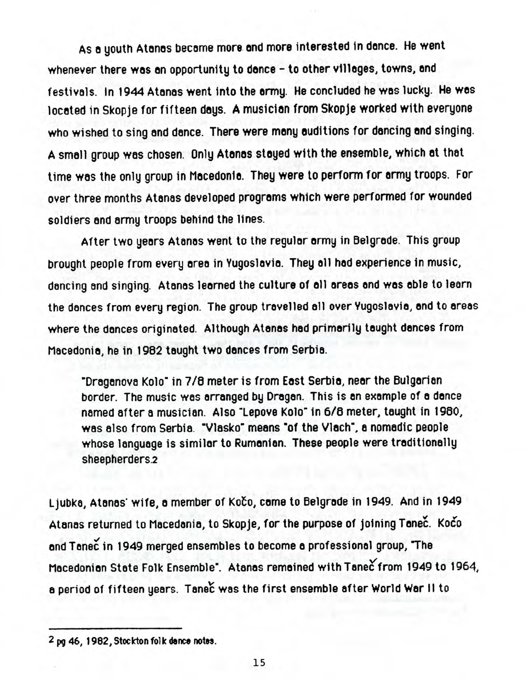As a youth Atanas became more and more interested in dance. He went whenever there was an opportunity to dance - to other villages, towns, and festivals. In 1944 Atonos went into the ormy. He concluded he was lucky. He wos located in Skopje for fifteen days. A musician from Skopje worked with everyone who wished to sing and dance. There were many auditions for dancing and singing. A small group was chosen. Only Atonos stoyed with the ensemble, which ot that time was the only group in Macedonia. They were to perform for army troops. For over three months Atanas developed programs which were performed for wounded soldiers and army troops behind the lines.

After two years Atanas went to the regular army in Belgrade. This group brought people from every area in Yugoslavia. They all had experience in music, dancing and singing. Atanas learned the culture of all areas and was able to learn the dances from every region. The group travelled all over Yugoslavia, end to areas where the dances originated. Although Atanas had primarily taught dances from Macedonia, he in 1982 taught two dances from Serbia.

"Draganova Kolo" in 7/8 meter is from East Serbia, near the Bulgarian border. The music was arranged by Dragan. This is an example of a dance named after a musician. Also "Lepove Kolo" in 6/8 meter, taught in 1980, was also from Serbia. "Vlasko" means "of the Vlach", a nomadic people whose language is similar to Rumanian. These people were traditionally sheepherders.2

Ljubka, Atanas' wife, a member of Kofco, came to Belgrade in 1949. And in 1949 Atanas returned to Macedania, to Skopje, for the purpose of joining Tanec. Koco end Tanec in 1949 merged ensembles to become a professional group, The Macedonian State Folk Ensemble". Atanas remained with Tanec from 1949 to 1964, a period of fifteen years. Tanec was the first ensemble after World War II to

<sup>2</sup> pg 46, 1962, Stockton **folk (fence notes.**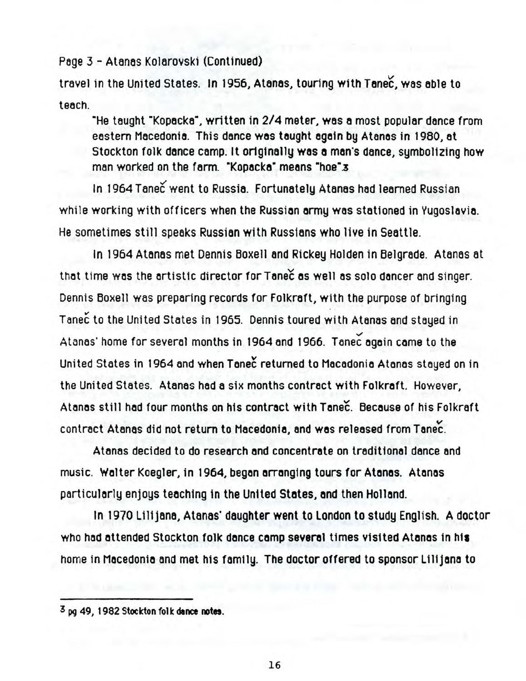Page 3 - Atanas Kolarovski (Continued)

travel in the United States. In 1956, Atanas, touring with Tanec, was able to teach.

"He taught "Kopacka", written in 2/4 meter, was a most popular dance from eastern Macedonia. This dance was taught again by Atanas in 1980, at Stockton folk dance camp. It originally was a man's dance, symbolizing how man worked on the farm. "Kopacka" means "hoe".3

In 1964 Tanec went to Russia. Fortunately Atanas had learned Russian while working with officers when the Russian army was stationed in Yugoslavia. He sometimes still speaks Russian with Russians who live in Seattle.

In 1964 Atanas met Dennis Boxell and Rickey Holden in Belgrade. Atanas at that time was the artistic director for Tanec as well as solo dancer and singer. Dennis Boxell was preparing records for Folkraft, with the purpose of bringing Tanec to the United States in 1965. Dennis toured with Atanas and stayed in Atanas' home for several months in 1964 and 1966. Tanec again came to the United States in 1964 and when Tanec returned to Macadonia Atanas stayed on in the United States. Atanas had a six months contract with Folkraft. However, Atanas still had four months on his contract with Tanec. Because of his Folkraft contract Atanas did not return to Macedonia, and was released from Tanec.

Atanas decided to do research and concentrate on traditional dance and music. Walter Koegler, in 1964, began arranging tours for Atanas. Atanas particularly enjoys teaching in the United States, and then Holland.

In 1970 Lilijana, Atanas' daughter went to London to study English. A doctor who had attended Stockton folk dance camp several times visited Atanas in his home in Macedonia and met his family. The doctor offered to sponsor Lilijana to

16

**<sup>3</sup> pg 49,1982 Stockton folk dance notes.**